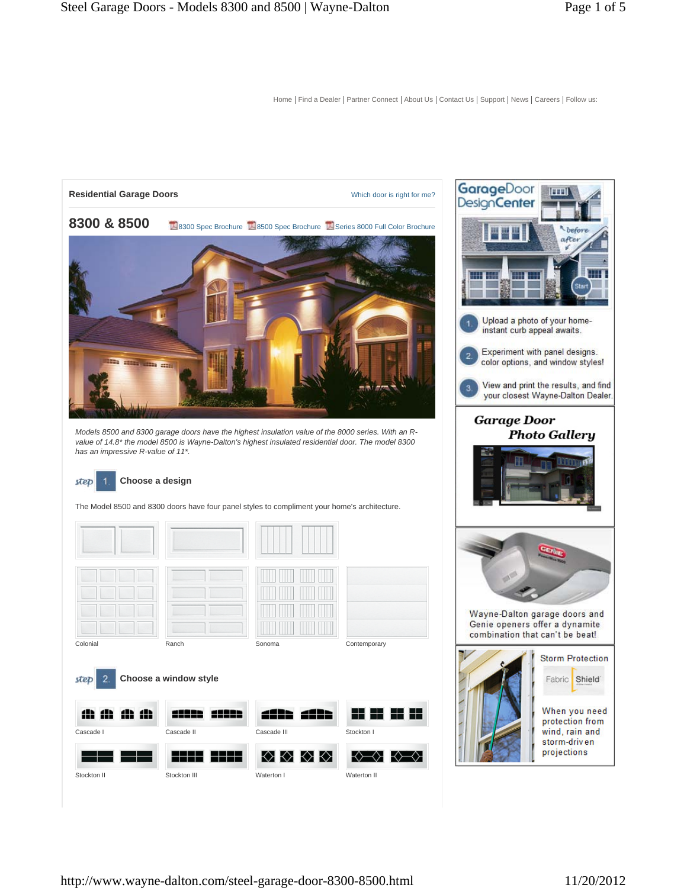

The Model 8500 and 8300 doors have four panel styles to compliment your home's architecture.

| Colonial<br>Ranch | Sonoma | Contemporary |
|-------------------|--------|--------------|













◇♡◇◇